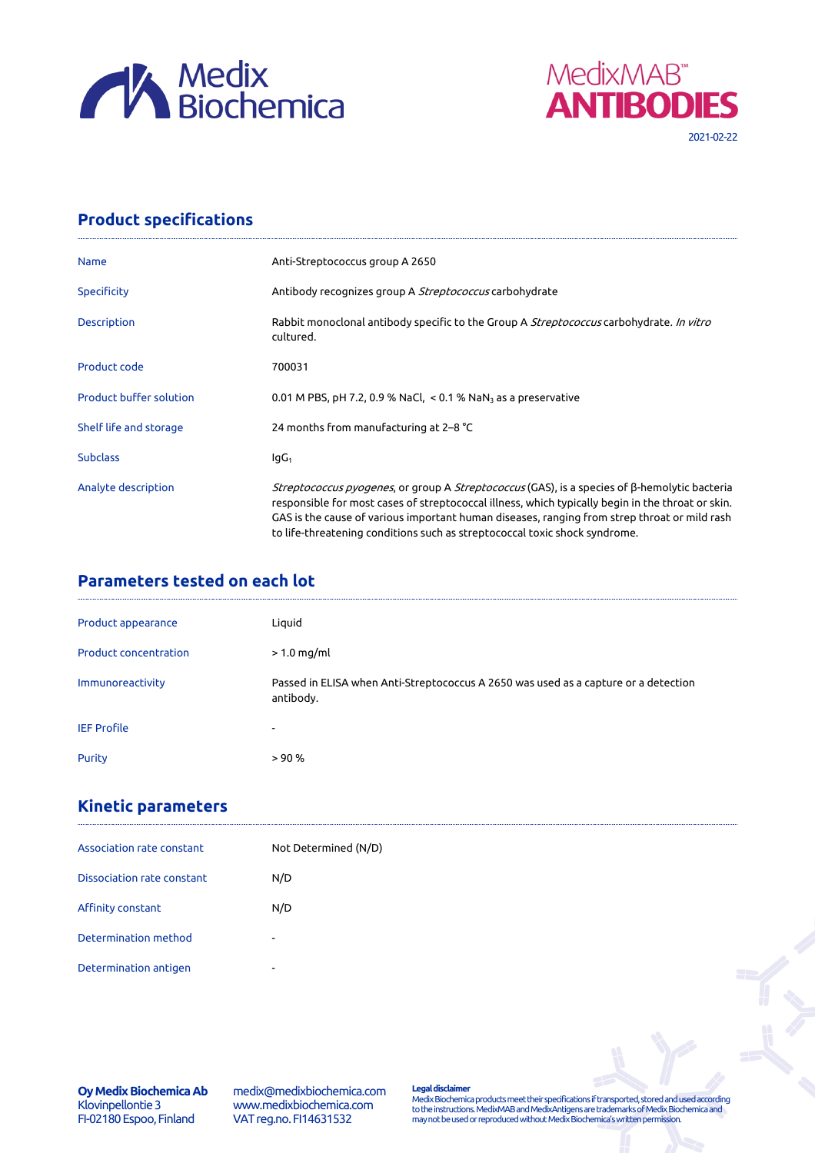



## **Product specifications**

| <b>Name</b>                    | Anti-Streptococcus group A 2650                                                                                                                                                                                                                                                                                                                                                                |
|--------------------------------|------------------------------------------------------------------------------------------------------------------------------------------------------------------------------------------------------------------------------------------------------------------------------------------------------------------------------------------------------------------------------------------------|
| <b>Specificity</b>             | Antibody recognizes group A <i>Streptococcus</i> carbohydrate                                                                                                                                                                                                                                                                                                                                  |
| <b>Description</b>             | Rabbit monoclonal antibody specific to the Group A <i>Streptococcus</i> carbohydrate. In vitro<br>cultured.                                                                                                                                                                                                                                                                                    |
| Product code                   | 700031                                                                                                                                                                                                                                                                                                                                                                                         |
| <b>Product buffer solution</b> | 0.01 M PBS, pH 7.2, 0.9 % NaCl, $<$ 0.1 % NaN <sub>3</sub> as a preservative                                                                                                                                                                                                                                                                                                                   |
| Shelf life and storage         | 24 months from manufacturing at 2–8 °C                                                                                                                                                                                                                                                                                                                                                         |
| <b>Subclass</b>                | $IqG_1$                                                                                                                                                                                                                                                                                                                                                                                        |
| Analyte description            | <i>Streptococcus pyogenes</i> , or group A <i>Streptococcus</i> (GAS), is a species of β-hemolytic bacteria<br>responsible for most cases of streptococcal illness, which typically begin in the throat or skin.<br>GAS is the cause of various important human diseases, ranging from strep throat or mild rash<br>to life-threatening conditions such as streptococcal toxic shock syndrome. |

## **Parameters tested on each lot**

| Product appearance           | Liquid                                                                                           |
|------------------------------|--------------------------------------------------------------------------------------------------|
| <b>Product concentration</b> | $> 1.0$ mg/ml                                                                                    |
| Immunoreactivity             | Passed in ELISA when Anti-Streptococcus A 2650 was used as a capture or a detection<br>antibody. |
| <b>IEF Profile</b>           | $\overline{\phantom{a}}$                                                                         |
| <b>Purity</b>                | > 90%                                                                                            |

## **Kinetic parameters**

| Association rate constant  | Not Determined (N/D)     |  |
|----------------------------|--------------------------|--|
| Dissociation rate constant | N/D                      |  |
| Affinity constant          | N/D                      |  |
| Determination method       | $\overline{\phantom{0}}$ |  |
| Determination antigen      | ۰                        |  |

medix@medixbiochemica.com www.medixbiochemica.com VAT reg.no. FI14631532

**Legal disclaimer** Medix Biochemica products meet their specifications if transported, stored and used according to the instructions. MedixMAB and MedixAntigens are trademarks of Medix Biochemica and may not be used or reproduced without Medix Biochemica's written permission.